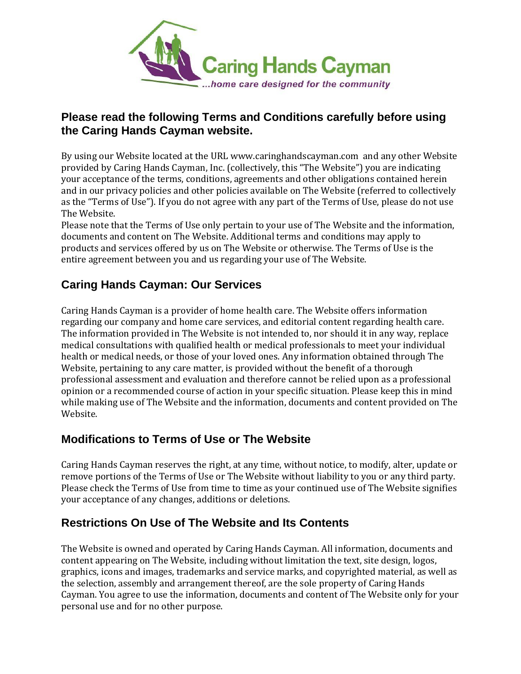

### **Please read the following Terms and Conditions carefully before using the Caring Hands Cayman website.**

By using our Website located at the URL www.caringhandscayman.com and any other Website provided by Caring Hands Cayman, Inc. (collectively, this "The Website") you are indicating your acceptance of the terms, conditions, agreements and other obligations contained herein and in our privacy policies and other policies available on The Website (referred to collectively as the "Terms of Use"). If you do not agree with any part of the Terms of Use, please do not use The Website.

Please note that the Terms of Use only pertain to your use of The Website and the information, documents and content on The Website. Additional terms and conditions may apply to products and services offered by us on The Website or otherwise. The Terms of Use is the entire agreement between you and us regarding your use of The Website.

# **Caring Hands Cayman: Our Services**

Caring Hands Cayman is a provider of home health care. The Website offers information regarding our company and home care services, and editorial content regarding health care. The information provided in The Website is not intended to, nor should it in any way, replace medical consultations with qualified health or medical professionals to meet your individual health or medical needs, or those of your loved ones. Any information obtained through The Website, pertaining to any care matter, is provided without the benefit of a thorough professional assessment and evaluation and therefore cannot be relied upon as a professional opinion or a recommended course of action in your specific situation. Please keep this in mind while making use of The Website and the information, documents and content provided on The Website.

## **Modifications to Terms of Use or The Website**

Caring Hands Cayman reserves the right, at any time, without notice, to modify, alter, update or remove portions of the Terms of Use or The Website without liability to you or any third party. Please check the Terms of Use from time to time as your continued use of The Website signifies your acceptance of any changes, additions or deletions.

# **Restrictions On Use of The Website and Its Contents**

The Website is owned and operated by Caring Hands Cayman. All information, documents and content appearing on The Website, including without limitation the text, site design, logos, graphics, icons and images, trademarks and service marks, and copyrighted material, as well as the selection, assembly and arrangement thereof, are the sole property of Caring Hands Cayman. You agree to use the information, documents and content of The Website only for your personal use and for no other purpose.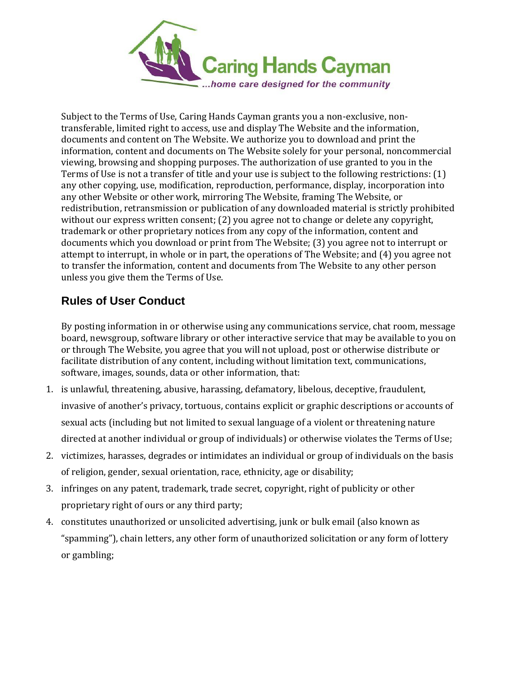

Subject to the Terms of Use, Caring Hands Cayman grants you a non-exclusive, nontransferable, limited right to access, use and display The Website and the information, documents and content on The Website. We authorize you to download and print the information, content and documents on The Website solely for your personal, noncommercial viewing, browsing and shopping purposes. The authorization of use granted to you in the Terms of Use is not a transfer of title and your use is subject to the following restrictions: (1) any other copying, use, modification, reproduction, performance, display, incorporation into any other Website or other work, mirroring The Website, framing The Website, or redistribution, retransmission or publication of any downloaded material is strictly prohibited without our express written consent; (2) you agree not to change or delete any copyright, trademark or other proprietary notices from any copy of the information, content and documents which you download or print from The Website; (3) you agree not to interrupt or attempt to interrupt, in whole or in part, the operations of The Website; and (4) you agree not to transfer the information, content and documents from The Website to any other person unless you give them the Terms of Use.

# **Rules of User Conduct**

By posting information in or otherwise using any communications service, chat room, message board, newsgroup, software library or other interactive service that may be available to you on or through The Website, you agree that you will not upload, post or otherwise distribute or facilitate distribution of any content, including without limitation text, communications, software, images, sounds, data or other information, that:

- 1. is unlawful, threatening, abusive, harassing, defamatory, libelous, deceptive, fraudulent, invasive of another's privacy, tortuous, contains explicit or graphic descriptions or accounts of sexual acts (including but not limited to sexual language of a violent or threatening nature directed at another individual or group of individuals) or otherwise violates the Terms of Use;
- 2. victimizes, harasses, degrades or intimidates an individual or group of individuals on the basis of religion, gender, sexual orientation, race, ethnicity, age or disability;
- 3. infringes on any patent, trademark, trade secret, copyright, right of publicity or other proprietary right of ours or any third party;
- 4. constitutes unauthorized or unsolicited advertising, junk or bulk email (also known as "spamming"), chain letters, any other form of unauthorized solicitation or any form of lottery or gambling;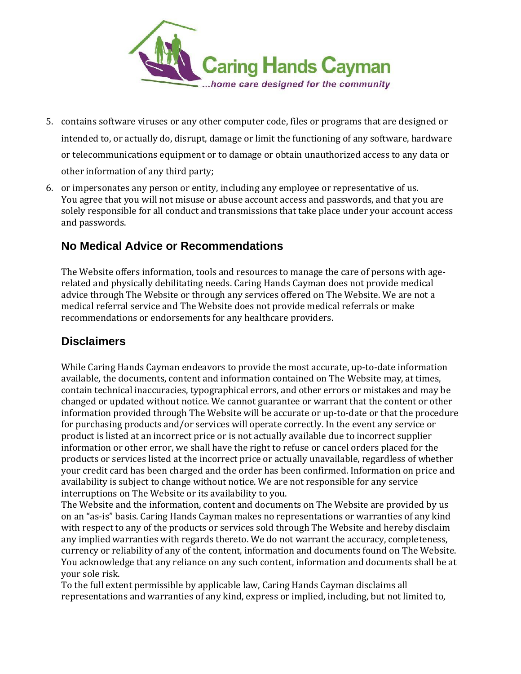

- 5. contains software viruses or any other computer code, files or programs that are designed or intended to, or actually do, disrupt, damage or limit the functioning of any software, hardware or telecommunications equipment or to damage or obtain unauthorized access to any data or other information of any third party;
- 6. or impersonates any person or entity, including any employee or representative of us. You agree that you will not misuse or abuse account access and passwords, and that you are solely responsible for all conduct and transmissions that take place under your account access and passwords.

## **No Medical Advice or Recommendations**

The Website offers information, tools and resources to manage the care of persons with agerelated and physically debilitating needs. Caring Hands Cayman does not provide medical advice through The Website or through any services offered on The Website. We are not a medical referral service and The Website does not provide medical referrals or make recommendations or endorsements for any healthcare providers.

#### **Disclaimers**

While Caring Hands Cayman endeavors to provide the most accurate, up-to-date information available, the documents, content and information contained on The Website may, at times, contain technical inaccuracies, typographical errors, and other errors or mistakes and may be changed or updated without notice. We cannot guarantee or warrant that the content or other information provided through The Website will be accurate or up-to-date or that the procedure for purchasing products and/or services will operate correctly. In the event any service or product is listed at an incorrect price or is not actually available due to incorrect supplier information or other error, we shall have the right to refuse or cancel orders placed for the products or services listed at the incorrect price or actually unavailable, regardless of whether your credit card has been charged and the order has been confirmed. Information on price and availability is subject to change without notice. We are not responsible for any service interruptions on The Website or its availability to you.

The Website and the information, content and documents on The Website are provided by us on an "as-is" basis. Caring Hands Cayman makes no representations or warranties of any kind with respect to any of the products or services sold through The Website and hereby disclaim any implied warranties with regards thereto. We do not warrant the accuracy, completeness, currency or reliability of any of the content, information and documents found on The Website. You acknowledge that any reliance on any such content, information and documents shall be at your sole risk.

To the full extent permissible by applicable law, Caring Hands Cayman disclaims all representations and warranties of any kind, express or implied, including, but not limited to,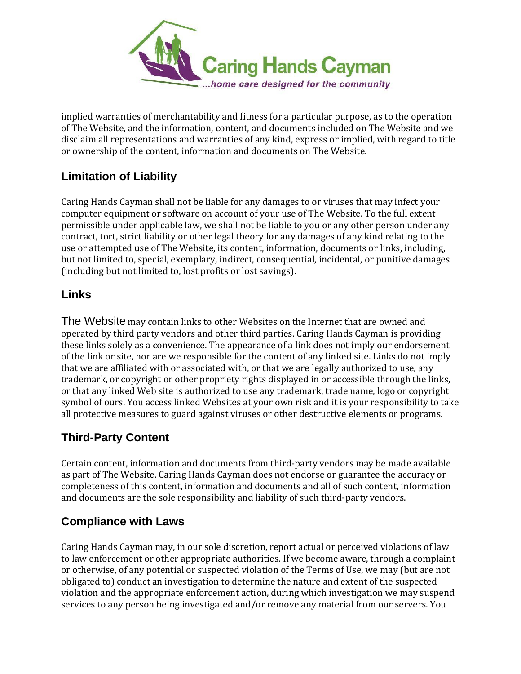

implied warranties of merchantability and fitness for a particular purpose, as to the operation of The Website, and the information, content, and documents included on The Website and we disclaim all representations and warranties of any kind, express or implied, with regard to title or ownership of the content, information and documents on The Website.

# **Limitation of Liability**

Caring Hands Cayman shall not be liable for any damages to or viruses that may infect your computer equipment or software on account of your use of The Website. To the full extent permissible under applicable law, we shall not be liable to you or any other person under any contract, tort, strict liability or other legal theory for any damages of any kind relating to the use or attempted use of The Website, its content, information, documents or links, including, but not limited to, special, exemplary, indirect, consequential, incidental, or punitive damages (including but not limited to, lost profits or lost savings).

#### **Links**

The Website may contain links to other Websites on the Internet that are owned and operated by third party vendors and other third parties. Caring Hands Cayman is providing these links solely as a convenience. The appearance of a link does not imply our endorsement of the link or site, nor are we responsible for the content of any linked site. Links do not imply that we are affiliated with or associated with, or that we are legally authorized to use, any trademark, or copyright or other propriety rights displayed in or accessible through the links, or that any linked Web site is authorized to use any trademark, trade name, logo or copyright symbol of ours. You access linked Websites at your own risk and it is your responsibility to take all protective measures to guard against viruses or other destructive elements or programs.

## **Third-Party Content**

Certain content, information and documents from third-party vendors may be made available as part of The Website. Caring Hands Cayman does not endorse or guarantee the accuracy or completeness of this content, information and documents and all of such content, information and documents are the sole responsibility and liability of such third-party vendors.

## **Compliance with Laws**

Caring Hands Cayman may, in our sole discretion, report actual or perceived violations of law to law enforcement or other appropriate authorities. If we become aware, through a complaint or otherwise, of any potential or suspected violation of the Terms of Use, we may (but are not obligated to) conduct an investigation to determine the nature and extent of the suspected violation and the appropriate enforcement action, during which investigation we may suspend services to any person being investigated and/or remove any material from our servers. You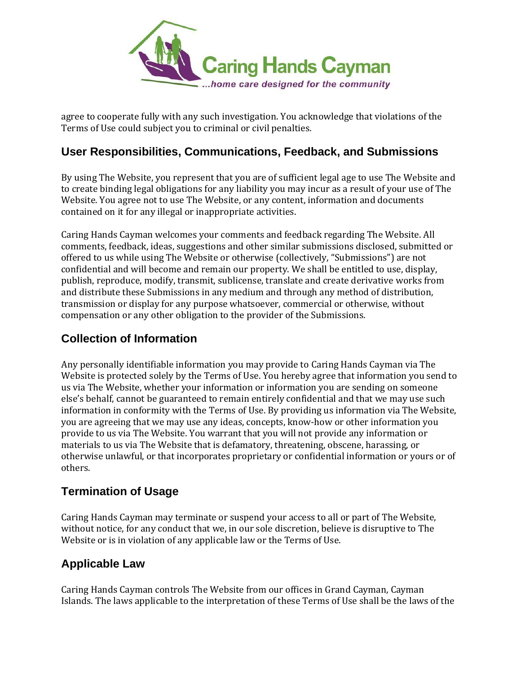

agree to cooperate fully with any such investigation. You acknowledge that violations of the Terms of Use could subject you to criminal or civil penalties.

### **User Responsibilities, Communications, Feedback, and Submissions**

By using The Website, you represent that you are of sufficient legal age to use The Website and to create binding legal obligations for any liability you may incur as a result of your use of The Website. You agree not to use The Website, or any content, information and documents contained on it for any illegal or inappropriate activities.

Caring Hands Cayman welcomes your comments and feedback regarding The Website. All comments, feedback, ideas, suggestions and other similar submissions disclosed, submitted or offered to us while using The Website or otherwise (collectively, "Submissions") are not confidential and will become and remain our property. We shall be entitled to use, display, publish, reproduce, modify, transmit, sublicense, translate and create derivative works from and distribute these Submissions in any medium and through any method of distribution, transmission or display for any purpose whatsoever, commercial or otherwise, without compensation or any other obligation to the provider of the Submissions.

### **Collection of Information**

Any personally identifiable information you may provide to Caring Hands Cayman via The Website is protected solely by the Terms of Use. You hereby agree that information you send to us via The Website, whether your information or information you are sending on someone else's behalf, cannot be guaranteed to remain entirely confidential and that we may use such information in conformity with the Terms of Use. By providing us information via The Website, you are agreeing that we may use any ideas, concepts, know-how or other information you provide to us via The Website. You warrant that you will not provide any information or materials to us via The Website that is defamatory, threatening, obscene, harassing, or otherwise unlawful, or that incorporates proprietary or confidential information or yours or of others.

#### **Termination of Usage**

Caring Hands Cayman may terminate or suspend your access to all or part of The Website, without notice, for any conduct that we, in our sole discretion, believe is disruptive to The Website or is in violation of any applicable law or the Terms of Use.

#### **Applicable Law**

Caring Hands Cayman controls The Website from our offices in Grand Cayman, Cayman Islands. The laws applicable to the interpretation of these Terms of Use shall be the laws of the